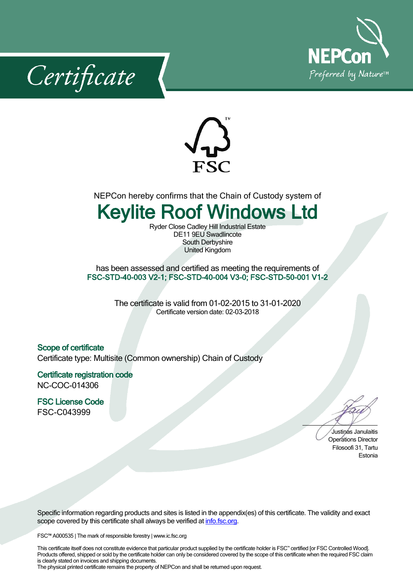





NEPCon hereby confirms that the Chain of Custody system of

## **Keylite Roof Windows Ltd**

Ryder Close Cadley Hill Industrial Estate DE11 9EU Swadlincote South Derbyshire United Kingdom

has been assessed and certified as meeting the requirements of **FSC-STD-40-003 V2-1; FSC-STD-40-004 V3-0; FSC-STD-50-001 V1-2**

> The certificate is valid from 01-02-2015 to 31-01-2020 Certificate version date: 02-03-2018

## **Scope of certificate**

Certificate type: Multisite (Common ownership) Chain of Custody

**Certificate registration code** NC-COC-014306

**FSC License Code** FSC-C043999

Justinas Janulaitis Operations Director Filosoofi 31, Tartu Estonia

Specific information regarding products and sites is listed in the appendix(es) of this certificate. The validity and exact scope covered by this certificate shall always be verified at *[info.fsc.org.](http://info.fsc.org/)* 

FSC™ A000535 | The mark of responsible forestry | www.ic.fsc.org

This certificate itself does not constitute evidence that particular product supplied by the certificate holder is FSC™ certified [or FSC Controlled Wood]. Products offered, shipped or sold by the certificate holder can only be considered covered by the scope of this certificate when the required FSC claim is clearly stated on invoices and shipping documents.

The physical printed certificate remains the property of NEPCon and shall be returned upon request.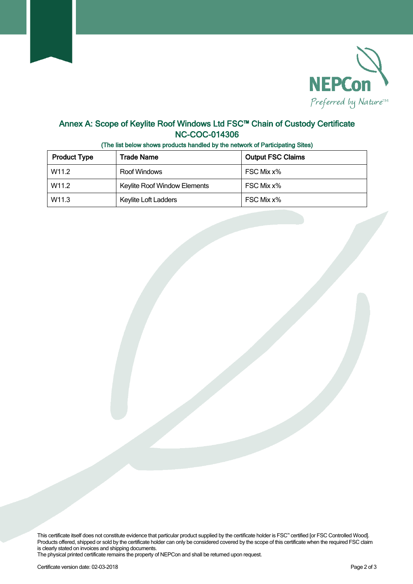

## **Annex A: Scope of Keylite Roof Windows Ltd FSC™ Chain of Custody Certificate NC-COC-014306**

| <b>Product Type</b> | Trade Name                   | <b>Output FSC Claims</b> |  |
|---------------------|------------------------------|--------------------------|--|
| W <sub>11.2</sub>   | Roof Windows                 | FSC Mix x%               |  |
| W <sub>11.2</sub>   | Keylite Roof Window Elements | FSC Mix x%               |  |
| W11.3               | Keylite Loft Ladders         | FSC Mix x%               |  |

**(The list below shows products handled by the network of Participating Sites)**

This certificate itself does not constitute evidence that particular product supplied by the certificate holder is FSC™ certified [or FSC Controlled Wood]. Products offered, shipped or sold by the certificate holder can only be considered covered by the scope of this certificate when the required FSC claim is clearly stated on invoices and shipping documents.

The physical printed certificate remains the property of NEPCon and shall be returned upon request.